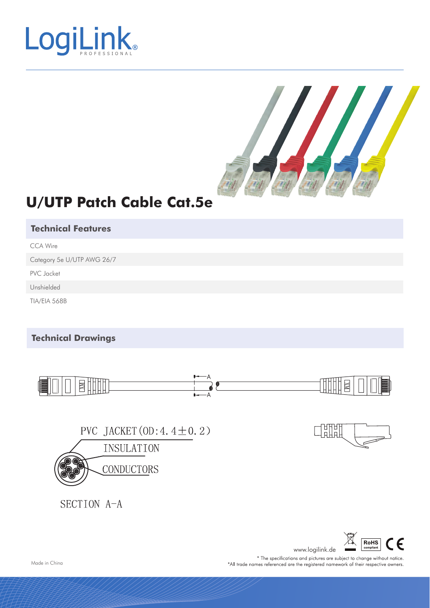



## **U/UTP Patch Cable Cat.5e**

## **Technical Features**

CCA Wire

Category 5e U/UTP AWG 26/7

PVC Jacket

Unshielded

TIA/EIA 568B

## **Technical Drawings**



\* The specifications and pictures are subject to change without notice. \*All trade names referenced are the registered namework of their respective owners.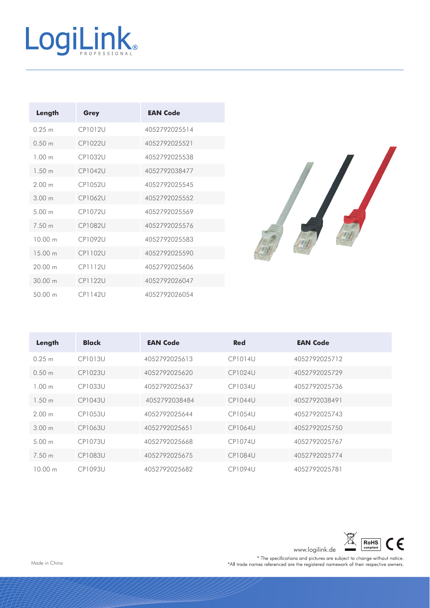

| Length            | Grey     | <b>EAN Code</b> |
|-------------------|----------|-----------------|
| 0.25 m            | CP1012U  | 4052792025514   |
| 0.50 m            | CP10221  | 4052792025521   |
| 1.00 <sub>m</sub> | CP103211 | 4052792025538   |
| 1.50 <sub>m</sub> | CP1042U  | 4052792038477   |
| 200 <sub>m</sub>  | CP1052U  | 4052792025545   |
| 300 m             | CP1062U  | 4052792025552   |
| 500 <sub>m</sub>  | CP1072U  | 4052792025569   |
| 7.50 m            | CP108211 | 4052792025576   |
| 10.00 m           | CP1092U  | 4052792025583   |
| 15 00 m           | CP1102U  | 4052792025590   |
| 20.00 m           | CPI112U  | 4052792025606   |
| 3000m             | CP11221  | 4052792026047   |
| 50.00 m           | CPI142U  | 4052792026054   |



| Length            | <b>Black</b>   | <b>EAN Code</b> | <b>Red</b>     | <b>EAN Code</b> |
|-------------------|----------------|-----------------|----------------|-----------------|
| 0.25 m            | <b>CP1013U</b> | 4052792025613   | CP1014U        | 4052792025712   |
| 0.50 m            | CP1023U        | 4052792025620   | CP1024U        | 4052792025729   |
| 1.00 m            | CP1033U        | 4052792025637   | CP1034U        | 4052792025736   |
| 1.50 <sub>m</sub> | <b>CP1043U</b> | 4052792038484   | CP1044U        | 4052792038491   |
| 200m              | <b>CP1053U</b> | 4052792025644   | CP1054U        | 4052792025743   |
| 300m              | CP1063U        | 4052792025651   | CP1064U        | 4052792025750   |
| 500m              | CP1073U        | 4052792025668   | CP1074U        | 4052792025767   |
| 7.50 m            | CP1083U        | 4052792025675   | <b>CP1084U</b> | 4052792025774   |
| 1000m             | CP1093U        | 4052792025682   | CP1094U        | 4052792025781   |



www.logilink.de <u>and compliant</u><br>
\* The specifications and pictures are subject to change without notice.<br>
\*All trade names referenced are the registered namework of their respective owners.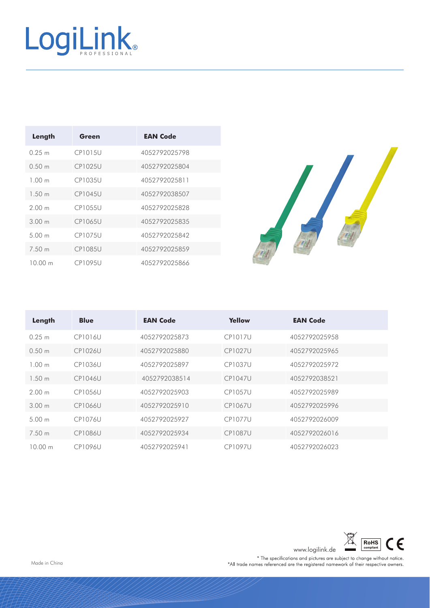

| Length            | Green          | <b>EAN Code</b> |
|-------------------|----------------|-----------------|
| 0.25 m            | CP1015U        | 4052792025798   |
| 0.50 m            | CP1025U        | 4052792025804   |
| 1.00 m            | CP1035U        | 4052792025811   |
| 1.50 m            | <b>CP1045U</b> | 4052792038507   |
| 200 <sub>m</sub>  | CP1055U        | 4052792025828   |
| 300 m             | CP1065U        | 4052792025835   |
| 5.00 <sub>m</sub> | <b>CP1075U</b> | 4052792025842   |
| 7.50 m            | <b>CP1085U</b> | 4052792025859   |
| 1000m             | <b>CP1095U</b> | 4052792025866   |



| Length  | <b>Blue</b>    | <b>EAN Code</b> | Yellow         | <b>EAN Code</b> |
|---------|----------------|-----------------|----------------|-----------------|
| 0.25 m  | <b>CP1016U</b> | 4052792025873   | <b>CP1017U</b> | 4052792025958   |
| 0.50 m  | CP1026U        | 4052792025880   | <b>CP1027U</b> | 4052792025965   |
| 1.00 m  | <b>CP1036U</b> | 4052792025897   | <b>CP1037U</b> | 4052792025972   |
| 1.50 m  | <b>CP1046U</b> | 4052792038514   | <b>CP1047U</b> | 4052792038521   |
| 2.00 m  | <b>CP1056U</b> | 4052792025903   | <b>CP1057U</b> | 4052792025989   |
| 3.00 m  | <b>CP1066U</b> | 4052792025910   | <b>CP1067U</b> | 4052792025996   |
| 500m    | CP1076U        | 4052792025927   | CP1077U        | 4052792026009   |
| 7.50 m  | <b>CP1086U</b> | 4052792025934   | <b>CP1087U</b> | 4052792026016   |
| 10.00 m | <b>CP1096U</b> | 4052792025941   | <b>CP1097U</b> | 4052792026023   |



www.logilink.de <u>and compliant</u><br>
\* The specifications and pictures are subject to change without notice.<br>
\*All trade names referenced are the registered namework of their respective owners.